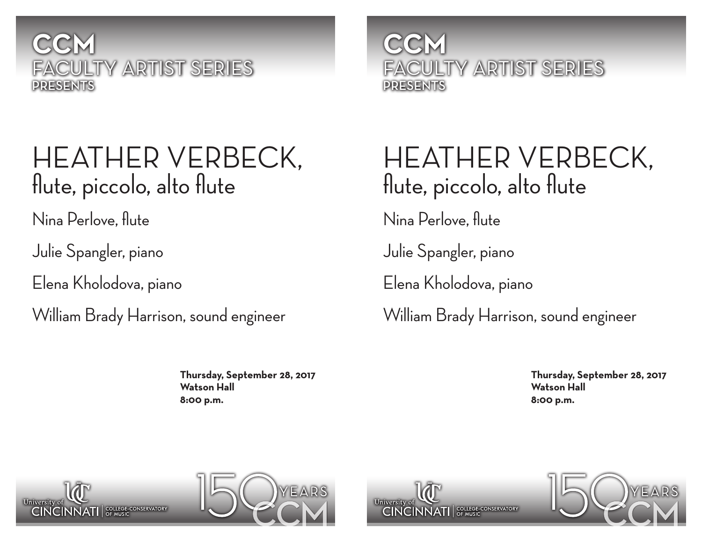

### HEATHER VERBECK, flute, piccolo, alto flute

Nina Perlove, flute

Julie Spangler, piano

Elena Kholodova, piano

William Brady Harrison, sound engineer

**Thursday, September 28, 2017 Watson Hall 8:00 p.m.**

**CCM** FACULTY ARTIST SERIES PRESENTS

## HEATHER VERBECK, flute, piccolo, alto flute

Nina Perlove, flute

Julie Spangler, piano

Elena Kholodova, piano

William Brady Harrison, sound engineer

**Thursday, September 28, 2017 Watson Hall 8:00 p.m.**